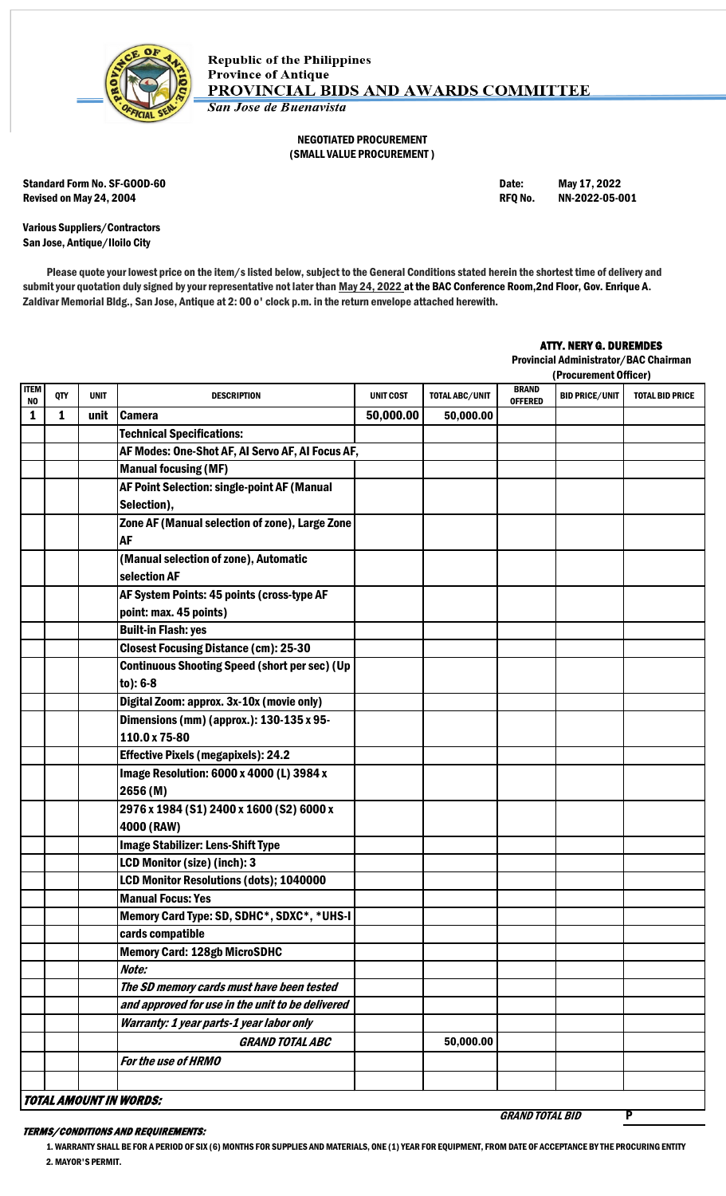

## NEGOTIATED PROCUREMENT (SMALL VALUE PROCUREMENT )

Standard Form No. SF-GOOD-60 **Date:** May 17, 2022 Revised on May 24, 2004 **Review of American Control Control Control** Revised on May 24, 2004 **RFQ No.** NN-2022-05-001

GRAND TOTAL BID P

Various Suppliers/Contractors San Jose, Antique/Iloilo City

Please quote your lowest price on the item/s listed below, subject to the General Conditions stated herein the shortest time of delivery and submit your quotation duly signed by your representative not later than May 24, 2022 at the BAC Conference Room, 2nd Floor, Gov. Enrique A. Zaldivar Memorial Bldg., San Jose, Antique at 2: 00 o' clock p.m. in the return envelope attached herewith.

## ATTY. NERY G. DUREMDES

Provincial Administrator/BAC Chairman

|                   |     |             |                                                      |                  |                |                                | (Procurement Officer) |                        |
|-------------------|-----|-------------|------------------------------------------------------|------------------|----------------|--------------------------------|-----------------------|------------------------|
| <b>ITEM</b><br>NO | QTY | <b>UNIT</b> | <b>DESCRIPTION</b>                                   | <b>UNIT COST</b> | TOTAL ABC/UNIT | <b>BRAND</b><br><b>OFFERED</b> | <b>BID PRICE/UNIT</b> | <b>TOTAL BID PRICE</b> |
| 1                 | 1   | unit        | <b>Camera</b>                                        | 50,000.00        | 50,000.00      |                                |                       |                        |
|                   |     |             | <b>Technical Specifications:</b>                     |                  |                |                                |                       |                        |
|                   |     |             | AF Modes: One-Shot AF, AI Servo AF, AI Focus AF,     |                  |                |                                |                       |                        |
|                   |     |             | <b>Manual focusing (MF)</b>                          |                  |                |                                |                       |                        |
|                   |     |             | AF Point Selection: single-point AF (Manual          |                  |                |                                |                       |                        |
|                   |     |             | Selection),                                          |                  |                |                                |                       |                        |
|                   |     |             | Zone AF (Manual selection of zone), Large Zone       |                  |                |                                |                       |                        |
|                   |     |             | <b>AF</b>                                            |                  |                |                                |                       |                        |
|                   |     |             | (Manual selection of zone), Automatic                |                  |                |                                |                       |                        |
|                   |     |             | selection AF                                         |                  |                |                                |                       |                        |
|                   |     |             | AF System Points: 45 points (cross-type AF           |                  |                |                                |                       |                        |
|                   |     |             | point: max. 45 points)                               |                  |                |                                |                       |                        |
|                   |     |             | <b>Built-in Flash: yes</b>                           |                  |                |                                |                       |                        |
|                   |     |             | <b>Closest Focusing Distance (cm): 25-30</b>         |                  |                |                                |                       |                        |
|                   |     |             | <b>Continuous Shooting Speed (short per sec) (Up</b> |                  |                |                                |                       |                        |
|                   |     |             | $to): 6-8$                                           |                  |                |                                |                       |                        |
|                   |     |             | Digital Zoom: approx. 3x-10x (movie only)            |                  |                |                                |                       |                        |
|                   |     |             | Dimensions (mm) (approx.): 130-135 x 95-             |                  |                |                                |                       |                        |
|                   |     |             | 110.0 x 75-80                                        |                  |                |                                |                       |                        |
|                   |     |             | <b>Effective Pixels (megapixels): 24.2</b>           |                  |                |                                |                       |                        |
|                   |     |             | Image Resolution: 6000 x 4000 (L) 3984 x             |                  |                |                                |                       |                        |
|                   |     |             | 2656(M)                                              |                  |                |                                |                       |                        |
|                   |     |             | 2976 x 1984 (S1) 2400 x 1600 (S2) 6000 x             |                  |                |                                |                       |                        |
|                   |     |             | 4000 (RAW)                                           |                  |                |                                |                       |                        |
|                   |     |             | <b>Image Stabilizer: Lens-Shift Type</b>             |                  |                |                                |                       |                        |
|                   |     |             | LCD Monitor (size) (inch): 3                         |                  |                |                                |                       |                        |
|                   |     |             | LCD Monitor Resolutions (dots); 1040000              |                  |                |                                |                       |                        |
|                   |     |             | <b>Manual Focus: Yes</b>                             |                  |                |                                |                       |                        |
|                   |     |             | Memory Card Type: SD, SDHC*, SDXC*, *UHS-I           |                  |                |                                |                       |                        |
|                   |     |             | cards compatible                                     |                  |                |                                |                       |                        |
|                   |     |             | <b>Memory Card: 128gb MicroSDHC</b>                  |                  |                |                                |                       |                        |
|                   |     |             | Note:                                                |                  |                |                                |                       |                        |
|                   |     |             | The SD memory cards must have been tested            |                  |                |                                |                       |                        |
|                   |     |             | and approved for use in the unit to be delivered     |                  |                |                                |                       |                        |
|                   |     |             | Warranty: 1 year parts-1 year labor only             |                  |                |                                |                       |                        |
|                   |     |             | <b>GRAND TOTAL ABC</b>                               |                  | 50,000.00      |                                |                       |                        |
|                   |     |             | For the use of HRMO                                  |                  |                |                                |                       |                        |
|                   |     |             |                                                      |                  |                |                                |                       |                        |
|                   |     |             | <b>TOTAL AMOUNT IN WORDS:</b>                        |                  |                |                                |                       |                        |

## TERMS/CONDITIONS AND REQUIREMENTS:

1. WARRANTY SHALL BE FOR A PERIOD OF SIX (6) MONTHS FOR SUPPLIES AND MATERIALS, ONE (1) YEAR FOR EQUIPMENT, FROM DATE OF ACCEPTANCE BY THE PROCURING ENTITY 2. MAYOR'S PERMIT.